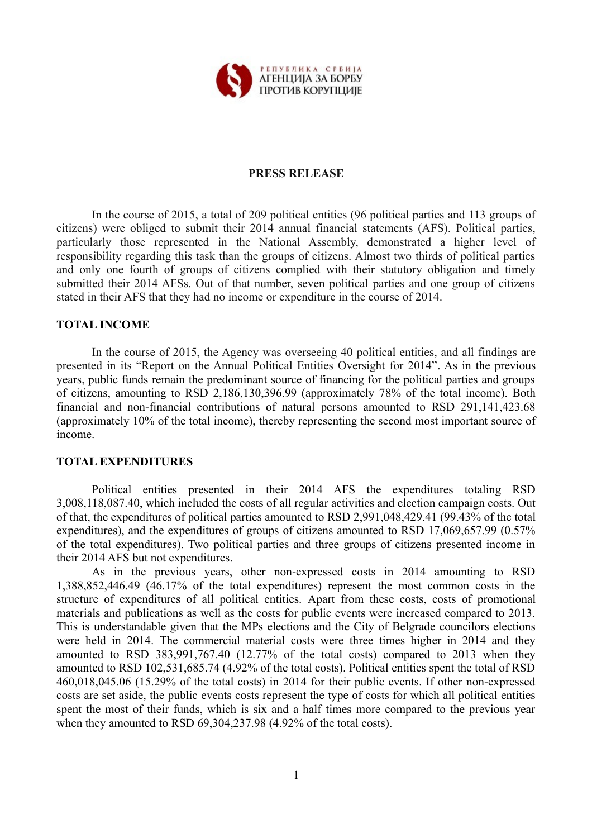

# **PRESS RELEASE**

In the course of 2015, а total of 209 political entities (96 political parties and 113 groups of citizens) were obliged to submit their 2014 annual financial statements (AFS). Political parties, particularly those represented in the National Assembly, demonstrated a higher level of responsibility regarding this task than the groups of citizens. Almost two thirds of political parties and only one fourth of groups of citizens complied with their statutory obligation and timely submitted their 2014 AFSs. Out of that number, seven political parties and one group of citizens stated in their AFS that they had no income or expenditure in the course of 2014.

#### **TOTAL INCOME**

In the course of 2015, the Agency was overseeing 40 political entities, and all findings are presented in its "Report on the Annual Political Entities Oversight for 2014". As in the previous years, public funds remain the predominant source of financing for the political parties and groups of citizens, amounting to RSD 2,186,130,396.99 (approximately 78% of the total income). Both financial and non-financial contributions of natural persons amounted to RSD 291,141,423.68 (approximately 10% of the total income), thereby representing the second most important source of income.

#### **TOTAL EXPENDITURES**

Political entities presented in their 2014 AFS the expenditures totaling RSD 3,008,118,087.40, which included the costs of all regular activities and election campaign costs. Out of that, the expenditures of political parties amounted to RSD 2,991,048,429.41 (99.43% of the total expenditures), and the expenditures of groups of citizens amounted to RSD 17,069,657.99 (0.57% of the total expenditures). Two political parties and three groups of citizens presented income in their 2014 AFS but not expenditures.

As in the previous years, other non-expressed costs in 2014 amounting to RSD 1,388,852,446.49 (46.17% of the total expenditures) represent the most common costs in the structure of expenditures of all political entities. Apart from these costs, costs of promotional materials and publications as well as the costs for public events were increased compared to 2013. This is understandable given that the MPs elections and the City of Belgrade councilors elections were held in 2014. The commercial material costs were three times higher in 2014 and they amounted to RSD 383,991,767.40 (12.77% of the total costs) compared to 2013 when they amounted to RSD 102,531,685.74 (4.92% of the total costs). Political entities spent the total of RSD 460,018,045.06 (15.29% of the total costs) in 2014 for their public events. If other non-expressed costs are set aside, the public events costs represent the type of costs for which all political entities spent the most of their funds, which is six and a half times more compared to the previous year when they amounted to RSD 69,304,237.98 (4.92% of the total costs).